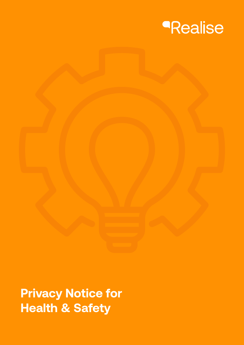

**Privacy Notice for Health & Safety**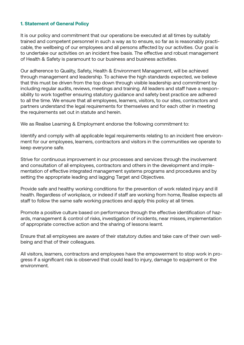## **1. Statement of General Policy**

It is our policy and commitment that our operations be executed at all times by suitably trained and competent personnel in such a way as to ensure, so far as is reasonably practicable, the wellbeing of our employees and all persons affected by our activities. Our goal is to undertake our activities on an incident free basis. The effective and robust management of Health & Safety is paramount to our business and business activities.

Our adherence to Quality, Safety, Health & Environment Management, will be achieved through management and leadership. To achieve the high standards expected, we believe that this must be driven from the top down through visible leadership and commitment by including regular audits, reviews, meetings and training. All leaders and staff have a responsibility to work together ensuring statutory guidance and safety best practice are adhered to all the time. We ensure that all employees, learners, visitors, to our sites, contractors and partners understand the legal requirements for themselves and for each other in meeting the requirements set out in statute and herein.

We as Realise Learning & Employment endorse the following commitment to:

Identify and comply with all applicable legal requirements relating to an incident free environment for our employees, learners, contractors and visitors in the communities we operate to keep everyone safe.

Strive for continuous improvement in our processes and services through the involvement and consultation of all employees, contractors and others in the development and implementation of effective integrated management systems programs and procedures and by setting the appropriate leading and lagging Target and Objectives.

Provide safe and healthy working conditions for the prevention of work related injury and ill health. Regardless of workplace, or indeed if staff are working from home, Realise expects all staff to follow the same safe working practices and apply this policy at all times.

Promote a positive culture based on performance through the effective identification of hazards, management & control of risks, investigation of incidents, near misses, implementation of appropriate corrective action and the sharing of lessons learnt.

Ensure that all employees are aware of their statutory duties and take care of their own wellbeing and that of their colleagues.

All visitors, learners, contractors and employees have the empowerment to stop work in progress if a significant risk is observed that could lead to injury, damage to equipment or the environment.